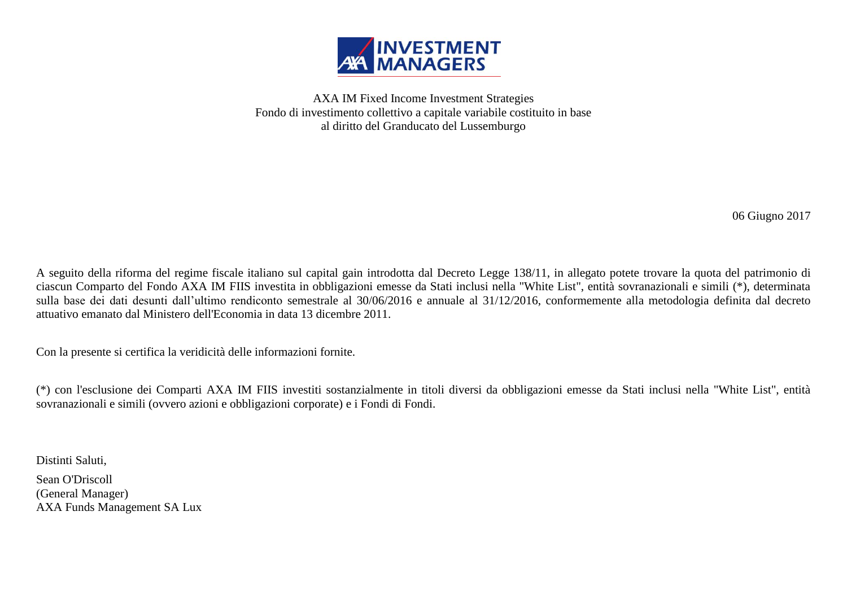

AXA IM Fixed Income Investment Strategies Fondo di investimento collettivo a capitale variabile costituito in base al diritto del Granducato del Lussemburgo

06 Giugno 2017

A seguito della riforma del regime fiscale italiano sul capital gain introdotta dal Decreto Legge 138/11, in allegato potete trovare la quota del patrimonio di ciascun Comparto del Fondo AXA IM FIIS investita in obbligazioni emesse da Stati inclusi nella "White List", entità sovranazionali e simili (\*), determinata sulla base dei dati desunti dall'ultimo rendiconto semestrale al 30/06/2016 e annuale al 31/12/2016, conformemente alla metodologia definita dal decreto attuativo emanato dal Ministero dell'Economia in data 13 dicembre 2011.

Con la presente si certifica la veridicità delle informazioni fornite.

(\*) con l'esclusione dei Comparti AXA IM FIIS investiti sostanzialmente in titoli diversi da obbligazioni emesse da Stati inclusi nella "White List", entità sovranazionali e simili (ovvero azioni e obbligazioni corporate) e i Fondi di Fondi.

Distinti Saluti, Sean O'Driscoll (General Manager) AXA Funds Management SA Lux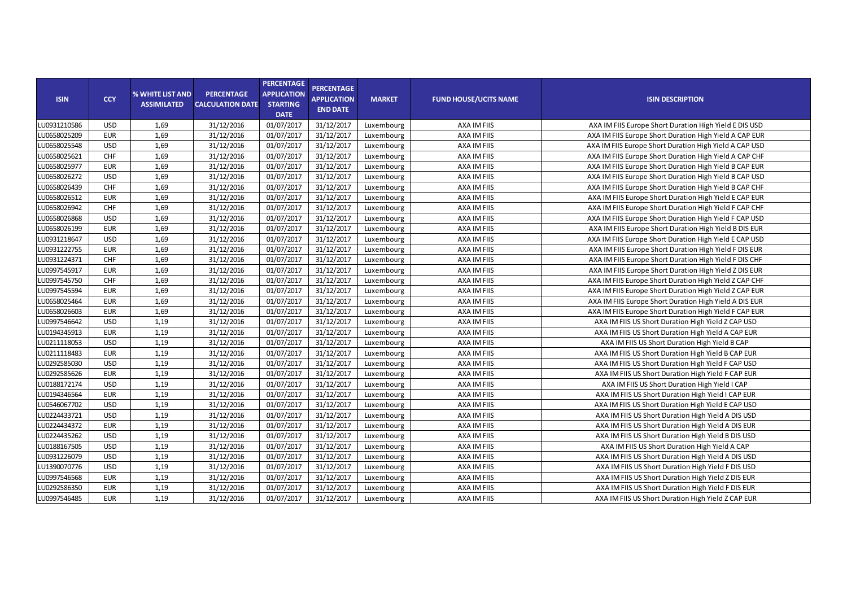| <b>ISIN</b>  | <b>CCY</b> | % WHITE LIST AND<br><b>ASSIMILATED</b> | <b>PERCENTAGE</b><br><b>CALCULATION DATE</b> | <b>PERCENTAGE</b><br><b>APPLICATION</b><br><b>STARTING</b><br><b>DATE</b> | <b>PERCENTAGE</b><br><b>APPLICATION</b><br><b>END DATE</b> | <b>MARKET</b> | <b>FUND HOUSE/UCITS NAME</b> | <b>ISIN DESCRIPTION</b>                                |
|--------------|------------|----------------------------------------|----------------------------------------------|---------------------------------------------------------------------------|------------------------------------------------------------|---------------|------------------------------|--------------------------------------------------------|
| LU0931210586 | <b>USD</b> | 1,69                                   | 31/12/2016                                   | 01/07/2017                                                                | 31/12/2017                                                 | Luxembourg    | AXA IM FIIS                  | AXA IM FIIS Europe Short Duration High Yield E DIS USD |
| LU0658025209 | <b>EUR</b> | 1,69                                   | 31/12/2016                                   | 01/07/2017                                                                | 31/12/2017                                                 | Luxembourg    | AXA IM FIIS                  | AXA IM FIIS Europe Short Duration High Yield A CAP EUR |
| LU0658025548 | <b>USD</b> | 1,69                                   | 31/12/2016                                   | 01/07/2017                                                                | 31/12/2017                                                 | Luxembourg    | AXA IM FIIS                  | AXA IM FIIS Europe Short Duration High Yield A CAP USD |
| LU0658025621 | CHF        | 1,69                                   | 31/12/2016                                   | 01/07/2017                                                                | 31/12/2017                                                 | Luxembourg    | AXA IM FIIS                  | AXA IM FIIS Europe Short Duration High Yield A CAP CHF |
| LU0658025977 | <b>EUR</b> | 1,69                                   | 31/12/2016                                   | 01/07/2017                                                                | 31/12/2017                                                 | Luxembourg    | AXA IM FIIS                  | AXA IM FIIS Europe Short Duration High Yield B CAP EUR |
| LU0658026272 | <b>USD</b> | 1,69                                   | 31/12/2016                                   | 01/07/2017                                                                | 31/12/2017                                                 | Luxembourg    | AXA IM FIIS                  | AXA IM FIIS Europe Short Duration High Yield B CAP USD |
| LU0658026439 | CHF        | 1,69                                   | 31/12/2016                                   | 01/07/2017                                                                | 31/12/2017                                                 | Luxembourg    | AXA IM FIIS                  | AXA IM FIIS Europe Short Duration High Yield B CAP CHF |
| LU0658026512 | <b>EUR</b> | 1,69                                   | 31/12/2016                                   | 01/07/2017                                                                | 31/12/2017                                                 | Luxembourg    | AXA IM FIIS                  | AXA IM FIIS Europe Short Duration High Yield E CAP EUR |
| LU0658026942 | <b>CHF</b> | 1,69                                   | 31/12/2016                                   | 01/07/2017                                                                | 31/12/2017                                                 | Luxembourg    | AXA IM FIIS                  | AXA IM FIIS Europe Short Duration High Yield F CAP CHF |
| LU0658026868 | <b>USD</b> | 1,69                                   | 31/12/2016                                   | 01/07/2017                                                                | 31/12/2017                                                 | Luxembourg    | AXA IM FIIS                  | AXA IM FIIS Europe Short Duration High Yield F CAP USD |
| LU0658026199 | <b>EUR</b> | 1,69                                   | 31/12/2016                                   | 01/07/2017                                                                | 31/12/2017                                                 | Luxembourg    | AXA IM FIIS                  | AXA IM FIIS Europe Short Duration High Yield B DIS EUR |
| LU0931218647 | <b>USD</b> | 1,69                                   | 31/12/2016                                   | 01/07/2017                                                                | 31/12/2017                                                 | Luxembourg    | AXA IM FIIS                  | AXA IM FIIS Europe Short Duration High Yield E CAP USD |
| LU0931222755 | <b>EUR</b> | 1,69                                   | 31/12/2016                                   | 01/07/2017                                                                | 31/12/2017                                                 | Luxembourg    | AXA IM FIIS                  | AXA IM FIIS Europe Short Duration High Yield F DIS EUR |
| LU0931224371 | CHF        | 1,69                                   | 31/12/2016                                   | 01/07/2017                                                                | 31/12/2017                                                 | Luxembourg    | AXA IM FIIS                  | AXA IM FIIS Europe Short Duration High Yield F DIS CHF |
| LU0997545917 | <b>EUR</b> | 1,69                                   | 31/12/2016                                   | 01/07/2017                                                                | 31/12/2017                                                 | Luxembourg    | AXA IM FIIS                  | AXA IM FIIS Europe Short Duration High Yield Z DIS EUR |
| LU0997545750 | CHF        | 1,69                                   | 31/12/2016                                   | 01/07/2017                                                                | 31/12/2017                                                 | Luxembourg    | AXA IM FIIS                  | AXA IM FIIS Europe Short Duration High Yield Z CAP CHF |
| LU0997545594 | <b>EUR</b> | 1,69                                   | 31/12/2016                                   | 01/07/2017                                                                | 31/12/2017                                                 | Luxembourg    | AXA IM FIIS                  | AXA IM FIIS Europe Short Duration High Yield Z CAP EUR |
| LU0658025464 | <b>EUR</b> | 1,69                                   | 31/12/2016                                   | 01/07/2017                                                                | 31/12/2017                                                 | Luxembourg    | AXA IM FIIS                  | AXA IM FIIS Europe Short Duration High Yield A DIS EUR |
| LU0658026603 | <b>EUR</b> | 1,69                                   | 31/12/2016                                   | 01/07/2017                                                                | 31/12/2017                                                 | Luxembourg    | AXA IM FIIS                  | AXA IM FIIS Europe Short Duration High Yield F CAP EUR |
| LU0997546642 | <b>USD</b> | 1,19                                   | 31/12/2016                                   | 01/07/2017                                                                | 31/12/2017                                                 | Luxembourg    | AXA IM FIIS                  | AXA IM FIIS US Short Duration High Yield Z CAP USD     |
| LU0194345913 | <b>EUR</b> | 1,19                                   | 31/12/2016                                   | 01/07/2017                                                                | 31/12/2017                                                 | Luxembourg    | AXA IM FIIS                  | AXA IM FIIS US Short Duration High Yield A CAP EUR     |
| LU0211118053 | <b>USD</b> | 1,19                                   | 31/12/2016                                   | 01/07/2017                                                                | 31/12/2017                                                 | Luxembourg    | AXA IM FIIS                  | AXA IM FIIS US Short Duration High Yield B CAP         |
| LU0211118483 | <b>EUR</b> | 1,19                                   | 31/12/2016                                   | 01/07/2017                                                                | 31/12/2017                                                 | Luxembourg    | AXA IM FIIS                  | AXA IM FIIS US Short Duration High Yield B CAP EUR     |
| LU0292585030 | <b>USD</b> | 1,19                                   | 31/12/2016                                   | 01/07/2017                                                                | 31/12/2017                                                 | Luxembourg    | AXA IM FIIS                  | AXA IM FIIS US Short Duration High Yield F CAP USD     |
| LU0292585626 | <b>EUR</b> | 1,19                                   | 31/12/2016                                   | 01/07/2017                                                                | 31/12/2017                                                 | Luxembourg    | AXA IM FIIS                  | AXA IM FIIS US Short Duration High Yield F CAP EUR     |
| LU0188172174 | <b>USD</b> | 1,19                                   | 31/12/2016                                   | 01/07/2017                                                                | 31/12/2017                                                 | Luxembourg    | AXA IM FIIS                  | AXA IM FIIS US Short Duration High Yield I CAP         |
| LU0194346564 | <b>EUR</b> | 1,19                                   | 31/12/2016                                   | 01/07/2017                                                                | 31/12/2017                                                 | Luxembourg    | AXA IM FIIS                  | AXA IM FIIS US Short Duration High Yield I CAP EUR     |
| LU0546067702 | <b>USD</b> | 1,19                                   | 31/12/2016                                   | 01/07/2017                                                                | 31/12/2017                                                 | Luxembourg    | AXA IM FIIS                  | AXA IM FIIS US Short Duration High Yield E CAP USD     |
| LU0224433721 | <b>USD</b> | 1,19                                   | 31/12/2016                                   | 01/07/2017                                                                | 31/12/2017                                                 | Luxembourg    | AXA IM FIIS                  | AXA IM FIIS US Short Duration High Yield A DIS USD     |
| LU0224434372 | <b>EUR</b> | 1,19                                   | 31/12/2016                                   | 01/07/2017                                                                | 31/12/2017                                                 | Luxembourg    | AXA IM FIIS                  | AXA IM FIIS US Short Duration High Yield A DIS EUR     |
| LU0224435262 | <b>USD</b> | 1,19                                   | 31/12/2016                                   | 01/07/2017                                                                | 31/12/2017                                                 | Luxembourg    | AXA IM FIIS                  | AXA IM FIIS US Short Duration High Yield B DIS USD     |
| LU0188167505 | <b>USD</b> | 1,19                                   | 31/12/2016                                   | 01/07/2017                                                                | 31/12/2017                                                 | Luxembourg    | AXA IM FIIS                  | AXA IM FIIS US Short Duration High Yield A CAP         |
| LU0931226079 | <b>USD</b> | 1,19                                   | 31/12/2016                                   | 01/07/2017                                                                | 31/12/2017                                                 | Luxembourg    | AXA IM FIIS                  | AXA IM FIIS US Short Duration High Yield A DIS USD     |
| LU1390070776 | <b>USD</b> | 1,19                                   | 31/12/2016                                   | 01/07/2017                                                                | 31/12/2017                                                 | Luxembourg    | AXA IM FIIS                  | AXA IM FIIS US Short Duration High Yield F DIS USD     |
| LU0997546568 | <b>EUR</b> | 1,19                                   | 31/12/2016                                   | 01/07/2017                                                                | 31/12/2017                                                 | Luxembourg    | AXA IM FIIS                  | AXA IM FIIS US Short Duration High Yield Z DIS EUR     |
| LU0292586350 | <b>EUR</b> | 1,19                                   | 31/12/2016                                   | 01/07/2017                                                                | 31/12/2017                                                 | Luxembourg    | AXA IM FIIS                  | AXA IM FIIS US Short Duration High Yield F DIS EUR     |
| LU0997546485 | <b>EUR</b> | 1,19                                   | 31/12/2016                                   | 01/07/2017                                                                | 31/12/2017                                                 | Luxembourg    | AXA IM FIIS                  | AXA IM FIIS US Short Duration High Yield Z CAP EUR     |